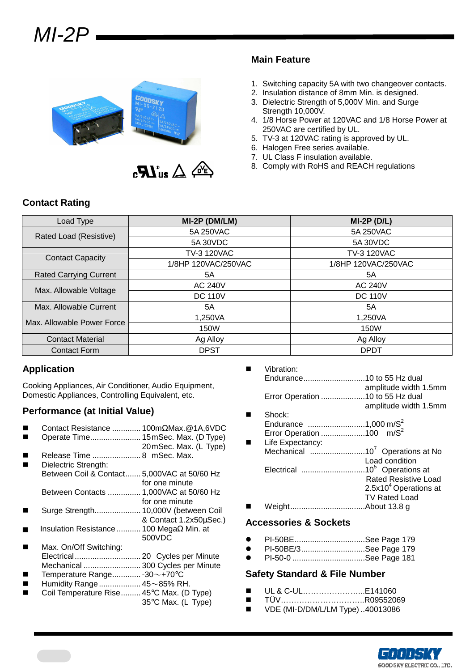



### **Main Feature**

- 1. Switching capacity 5A with two changeover contacts.
- 2. Insulation distance of 8mm Min. is designed. 3. Dielectric Strength of 5,000V Min. and Surge Strength 10,000V.
- 4. 1/8 Horse Power at 120VAC and 1/8 Horse Power at 250VAC are certified by UL.
- 5. TV-3 at 120VAC rating is approved by UL.
- 6. Halogen Free series available.
- 7. UL Class F insulation available.
- 8. Comply with RoHS and REACH regulations

## **Contact Rating**

| Load Type                     | $MI-2P$ (DM/LM)     | $MI-2P(D/L)$        |  |  |
|-------------------------------|---------------------|---------------------|--|--|
| Rated Load (Resistive)        | 5A 250VAC           | 5A 250VAC           |  |  |
|                               | 5A 30VDC            | 5A 30VDC            |  |  |
| <b>Contact Capacity</b>       | <b>TV-3 120VAC</b>  | <b>TV-3 120VAC</b>  |  |  |
|                               | 1/8HP 120VAC/250VAC | 1/8HP 120VAC/250VAC |  |  |
| <b>Rated Carrying Current</b> | 5A                  | 5A                  |  |  |
| Max. Allowable Voltage        | <b>AC 240V</b>      | <b>AC 240V</b>      |  |  |
|                               | <b>DC 110V</b>      | <b>DC 110V</b>      |  |  |
| Max. Allowable Current        | 5A                  | 5A                  |  |  |
| Max. Allowable Power Force    | 1,250VA             | 1,250VA             |  |  |
|                               | 150W                | 150W                |  |  |
| <b>Contact Material</b>       | Ag Alloy            | Ag Alloy            |  |  |
| <b>Contact Form</b>           | <b>DPST</b>         | <b>DPDT</b>         |  |  |

#### **Application**

Cooking Appliances, Air Conditioner, Audio Equipment, Domestic Appliances, Controlling Equivalent, etc.

## **Performance (at Initial Value)**

- Contact Resistance ............. 100mΩMax.@1A,6VDC Operate Time....................... 15 mSec. Max. (D Type) 20 mSec. Max. (L Type) Release Time ...................... 8 mSec. Max. Dielectric Strength: Between Coil & Contact....... 5,000VAC at 50/60 Hz for one minute Between Contacts ............... 1,000VAC at 50/60 Hz for one minute Surge Strength..................... 10,000V (between Coil & Contact 1.2x50µSec.) Insulation Resistance ........... 100 MegaΩ Min. at 500VDC Max. On/Off Switching: Electrical.............................. 20 Cycles per Minute Mechanical .......................... 300 Cycles per Minute Temperature Range............. -30~+70°C Humidity Range................... 45~85% RH. Coil Temperature Rise......... 45°C Max. (D Type) 35°C Max. (L Type)
- Vibration: Endurance............................10 to 55 Hz dual amplitude width 1.5mm Error Operation ....................10 to 55 Hz dual
- amplitude width 1.5mm Shock: Endurance ..........................1,000 m/S<sup>2</sup>
- Error Operation .........................100 m/S<sup>2</sup> Life Expectancy:
- Mechanical .........................10<sup>7</sup>Operations at No Load condition Electrical .............................10<sup>5</sup>Operations at Rated Resistive Load  $2.5x10<sup>4</sup>$  Operations at TV Rated Load Weight..................................About 13.8 g

#### **Accessories & Sockets**

- PI-50BE................................See Page 179
- PI-50BE/3.............................See Page 179
- PI-50-0 .................................See Page 181

#### **Safety Standard & File Number**

- UL & C-UL…………………...E141060
- TÜV…………………………..R09552069
- VDE (MI-D/DM/L/LM Type) ..40013086